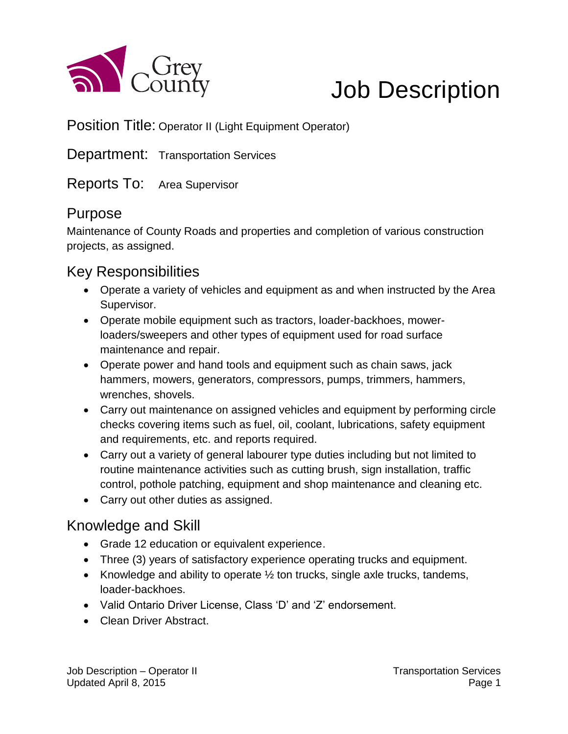

# Job Description

Position Title: Operator II (Light Equipment Operator)

Department: Transportation Services

#### Reports To: Area Supervisor

#### Purpose

Maintenance of County Roads and properties and completion of various construction projects, as assigned.

#### Key Responsibilities

- Operate a variety of vehicles and equipment as and when instructed by the Area Supervisor.
- Operate mobile equipment such as tractors, loader-backhoes, mowerloaders/sweepers and other types of equipment used for road surface maintenance and repair.
- Operate power and hand tools and equipment such as chain saws, jack hammers, mowers, generators, compressors, pumps, trimmers, hammers, wrenches, shovels.
- Carry out maintenance on assigned vehicles and equipment by performing circle checks covering items such as fuel, oil, coolant, lubrications, safety equipment and requirements, etc. and reports required.
- Carry out a variety of general labourer type duties including but not limited to routine maintenance activities such as cutting brush, sign installation, traffic control, pothole patching, equipment and shop maintenance and cleaning etc.
- Carry out other duties as assigned.

### Knowledge and Skill

- Grade 12 education or equivalent experience.
- Three (3) years of satisfactory experience operating trucks and equipment.
- Knowledge and ability to operate  $\frac{1}{2}$  ton trucks, single axle trucks, tandems, loader-backhoes.
- Valid Ontario Driver License, Class 'D' and 'Z' endorsement.
- Clean Driver Abstract.